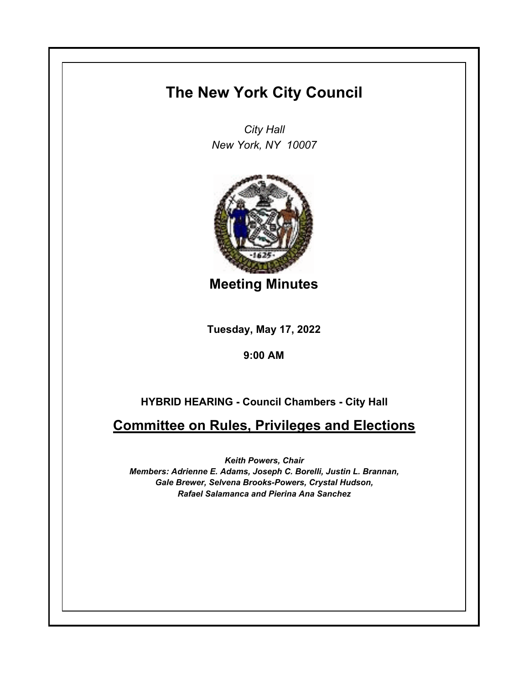## **The New York City Council**

*City Hall New York, NY 10007*



**Meeting Minutes**

**Tuesday, May 17, 2022**

**9:00 AM**

## **HYBRID HEARING - Council Chambers - City Hall**

**Committee on Rules, Privileges and Elections**

*Keith Powers, Chair Members: Adrienne E. Adams, Joseph C. Borelli, Justin L. Brannan, Gale Brewer, Selvena Brooks-Powers, Crystal Hudson, Rafael Salamanca and Pierina Ana Sanchez*